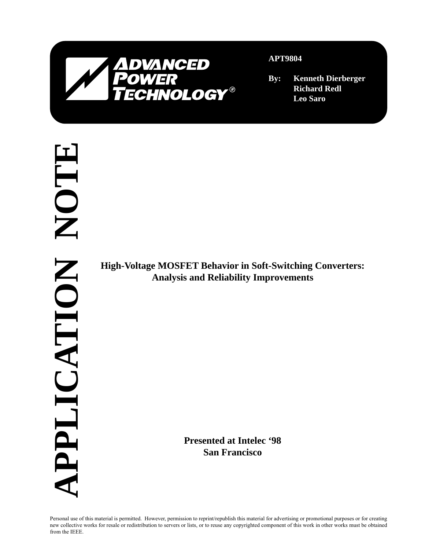

**APT9804**

**By: Kenneth Dierberger Richard Redl Leo Saro**

**Analysis and Reliability Improvements**

**Presented at Intelec '98 San Francisco**

Personal use of this material is permitted. However, permission to reprint/republish this material for advertising or promotional purposes or for creating new collective works for resale or redistribution to servers or lists, or to reuse any copyrighted component of this work in other works must be obtained from the IEEE.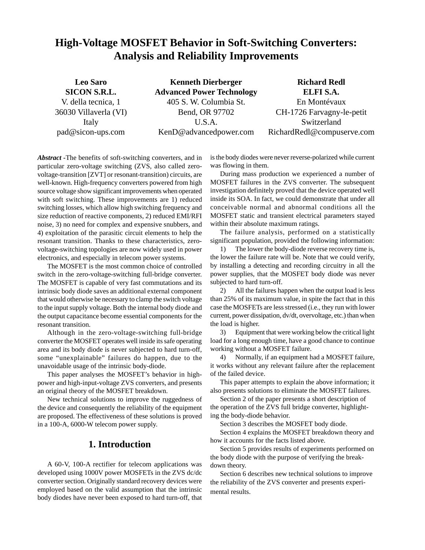# **High-Voltage MOSFET Behavior in Soft-Switching Converters: Analysis and Reliability Improvements**

**Leo Saro SICON S.R.L.** V. della tecnica, 1 36030 Villaverla (VI) Italy pad@sicon-ups.com

**Kenneth Dierberger Advanced Power Technology** 405 S. W. Columbia St. Bend, OR 97702 U.S.A. KenD@advancedpower.com

**Richard Redl ELFI S.A.** En Montévaux CH-1726 Farvagny-le-petit Switzerland RichardRedl@compuserve.com

*Abstract -*The benefits of soft-switching converters, and in particular zero-voltage switching (ZVS, also called zerovoltage-transition [ZVT] or resonant-transition) circuits, are well-known. High-frequency converters powered from high source voltage show significant improvements when operated with soft switching. These improvements are 1) reduced switching losses, which allow high switching frequency and size reduction of reactive components, 2) reduced EMI/RFI noise, 3) no need for complex and expensive snubbers, and 4) exploitation of the parasitic circuit elements to help the resonant transition. Thanks to these characteristics, zerovoltage-switching topologies are now widely used in power electronics, and especially in telecom power systems.

The MOSFET is the most common choice of controlled switch in the zero-voltage-switching full-bridge converter. The MOSFET is capable of very fast commutations and its intrinsic body diode saves an additional external component that would otherwise be necessary to clamp the switch voltage to the input supply voltage. Both the internal body diode and the output capacitance become essential components for the resonant transition.

Although in the zero-voltage-switching full-bridge converter the MOSFET operates well inside its safe operating area and its body diode is never subjected to hard turn-off, some "unexplainable" failures do happen, due to the unavoidable usage of the intrinsic body-diode.

This paper analyses the MOSFET's behavior in highpower and high-input-voltage ZVS converters, and presents an original theory of the MOSFET breakdown.

New technical solutions to improve the ruggedness of the device and consequently the reliability of the equipment are proposed. The effectiveness of these solutions is proved in a 100-A, 6000-W telecom power supply.

## **1. Introduction**

A 60-V, 100-A rectifier for telecom applications was developed using 1000V power MOSFETs in the ZVS dc/dc converter section. Originally standard recovery devices were employed based on the valid assumption that the intrinsic body diodes have never been exposed to hard turn-off, that is the body diodes were never reverse-polarized while current was flowing in them.

During mass production we experienced a number of MOSFET failures in the ZVS converter. The subsequent investigation definitely proved that the device operated well inside its SOA. In fact, we could demonstrate that under all conceivable normal and abnormal conditions all the MOSFET static and transient electrical parameters stayed within their absolute maximum ratings.

The failure analysis, performed on a statistically significant population, provided the following information:

1) The lower the body-diode reverse recovery time is, the lower the failure rate will be. Note that we could verify, by installing a detecting and recording circuitry in all the power supplies, that the MOSFET body diode was never subjected to hard turn-off.

2) All the failures happen when the output load is less than 25% of its maximum value, in spite the fact that in this case the MOSFETs are less stressed (i.e., they run with lower current, power dissipation, dv/dt, overvoltage, etc.) than when the load is higher.

3) Equipment that were working below the critical light load for a long enough time, have a good chance to continue working without a MOSFET failure.

4) Normally, if an equipment had a MOSFET failure, it works without any relevant failure after the replacement of the failed device.

This paper attempts to explain the above information; it also presents solutions to eliminate the MOSFET failures.

Section 2 of the paper presents a short description of the operation of the ZVS full bridge converter, highlighting the body-diode behavior.

Section 3 describes the MOSFET body diode.

Section 4 explains the MOSFET breakdown theory and how it accounts for the facts listed above.

Section 5 provides results of experiments performed on the body diode with the purpose of verifying the breakdown theory.

Section 6 describes new technical solutions to improve the reliability of the ZVS converter and presents experimental results.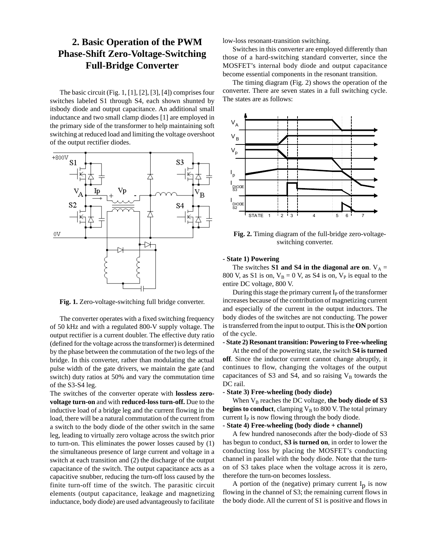## **2. Basic Operation of the PWM Phase-Shift Zero-Voltage-Switching Full-Bridge Converter**

The basic circuit (Fig. 1, [1], [2], [3], [4]) comprises four switches labeled S1 through S4, each shown shunted by itsbody diode and output capacitance. An additional small inductance and two small clamp diodes [1] are employed in the primary side of the transformer to help maintaining soft switching at reduced load and limiting the voltage overshoot of the output rectifier diodes.



**Fig. 1.** Zero-voltage-switching full bridge converter.

The converter operates with a fixed switching frequency of 50 kHz and with a regulated 800-V supply voltage. The output rectifier is a current doubler. The effective duty ratio (defined for the voltage across the transformer) is determined by the phase between the commutation of the two legs of the bridge. In this converter, rather than modulating the actual pulse width of the gate drivers, we maintain the gate (and switch) duty ratios at 50% and vary the commutation time of the S3-S4 leg.

The switches of the converter operate with **lossless zerovoltage turn-on** and with **reduced-loss turn-off.** Due to the inductive load of a bridge leg and the current flowing in the load, there will be a natural commutation of the current from a switch to the body diode of the other switch in the same leg, leading to virtually zero voltage across the switch prior to turn-on. This eliminates the power losses caused by (1) the simultaneous presence of large current and voltage in a switch at each transition and (2) the discharge of the output capacitance of the switch. The output capacitance acts as a capacitive snubber, reducing the turn-off loss caused by the finite turn-off time of the switch. The parasitic circuit elements (output capacitance, leakage and magnetizing inductance, body diode) are used advantageously to facilitate

low-loss resonant-transition switching.

Switches in this converter are employed differently than those of a hard-switching standard converter, since the MOSFET's internal body diode and output capacitance become essential components in the resonant transition.

The timing diagram (Fig. 2) shows the operation of the converter. There are seven states in a full switching cycle. The states are as follows:



**Fig. 2.** Timing diagram of the full-bridge zero-voltageswitching converter.

#### **- State 1) Powering**

The switches **S1 and S4 in the diagonal are on**.  $V_A =$ 800 V, as S1 is on,  $V_B = 0$  V, as S4 is on,  $V_P$  is equal to the entire DC voltage, 800 V.

During this stage the primary current  $I<sub>P</sub>$  of the transformer increases because of the contribution of magnetizing current and especially of the current in the output inductors. The body diodes of the switches are not conducting. The power is transferred from the input to output. This is the **ON** portion of the cycle.

#### **- State 2) Resonant transition: Powering to Free-wheeling**

At the end of the powering state, the switch **S4 is turned off**. Since the inductor current cannot change abruptly, it continues to flow, changing the voltages of the output capacitances of S3 and S4, and so raising  $V_B$  towards the DC rail.

#### **- State 3) Free-wheeling (body diode)**

When V<sub>B</sub> reaches the DC voltage, the body diode of S3 **begins to conduct**, clamping  $V_B$  to 800 V. The total primary current  $I<sub>P</sub>$  is now flowing through the body diode.

#### **- State 4) Free-wheeling (body diode + channel)**

A few hundred nanoseconds after the body-diode of S3 has begun to conduct, **S3 is turned on**, in order to lower the conducting loss by placing the MOSFET's conducting channel in parallel with the body diode. Note that the turnon of S3 takes place when the voltage across it is zero, therefore the turn-on becomes lossless.

A portion of the (negative) primary current  $I_p$  is now flowing in the channel of S3; the remaining current flows in the body diode. All the current of S1 is positive and flows in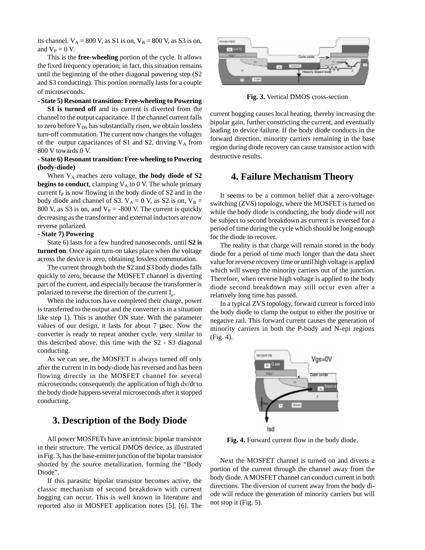its channel.  $V_A = 800$  V, as S1 is on,  $V_B = 800$  V, as S3 is on, and  $V_P = 0$  V.

This is the **free-wheeling** portion of the cycle. It allows the fixed frequency operation; in fact, this situation remains until the beginning of the other diagonal powering step (S2 and S3 conducting). This portion normally lasts for a couple of microseconds.

#### **- State 5) Resonant transition: Free-wheeling to Powering**

**S1 is turned off** and its current is diverted from the channel to the output capacitance. If the channel current falls to zero before  $V_{DS}$  has substantially risen, we obtain lossless turn-off commutation. The current now changes the voltages of the output capacitances of S1 and S2, driving  $V_A$  from 800 V towards 0 V.

#### **- State 6) Resonant transition: Free-wheeling to Powering (body-diode)**

When  $V_A$  reaches zero voltage, the body diode of S2 **begins to conduct**, clamping  $V_A$  to 0 V. The whole primary current  $I<sub>P</sub>$  is now flowing in the body diode of S2 and in the body diode and channel of S3.  $V_A = 0$  V, as S2 is on,  $V_B =$ 800 V, as S3 is on, and  $V_P = -800$  V. The current is quickly decreasing as the transformer and external inductors are now reverse polarized.

#### **- State 7) Powering**

State 6) lasts for a few hundred nanoseconds, until **S2 is turned on**. Once again turn-on takes place when the voltage across the device is zero, obtaining lossless commutation.

The current through both the S2 and S3 body diodes falls quickly to zero, because the MOSFET channel is diverting part of the current, and especially because the transformer is polarized to reverse the direction of the current  $I_p$ .

When the inductors have completed their charge, power is transferred to the output and the converter is in a situation like step 1). This is another ON state. With the parameter values of our design, it lasts for about 7 µsec. Now the converter is ready to repeat another cycle, very similar to this described above, this time with the S2 - S3 diagonal conducting.

As we can see, the MOSFET is always turned off only after the current in its body-diode has reversed and has been flowing directly in the MOSFET channel for several microseconds; consequently the application of high dv/dt to the body diode happens several microseconds after it stopped conducting.

### **3. Description of the Body Diode**

All power MOSFETs have an intrinsic bipolar transistor in their structure. The vertical DMOS device, as illustrated in Fig. 3, has the base-emitter junction of the bipolar transistor shorted by the source metallization, forming the "Body Diode".

If this parasitic bipolar transistor becomes active, the classic mechanism of second breakdown with current hogging can occur. This is well known in literature and reported also in MOSFET application notes [5], [6]. The



**Fig. 3.** Vertical DMOS cross-section

current hogging causes local heating, thereby increasing the bipolar gain, further constricting the current, and eventually leading to device failure. If the body diode conducts in the forward direction, minority carriers remaining in the base region during diode recovery can cause transistor action with destructive results.

### **4. Failure Mechanism Theory**

It seems to be a common belief that a zero-voltageswitching (ZVS) topology, where the MOSFET is turned on while the body diode is conducting, the body diode will not be subject to second breakdown as current is reversed for a period of time during the cycle which should be long enough for the diode to recover.

The reality is that charge will remain stored in the body diode for a period of time much longer than the data sheet value for reverse recovery time or until high voltage is applied which will sweep the minority carriers out of the junction. Therefore, when reverse high voltage is applied to the body diode second breakdown may still occur even after a relatively long time has passed.

In a typical ZVS topology, forward current is forced into the body diode to clamp the output to either the positive or negative rail. This forward current causes the generation of minority carriers in both the P-body and N-epi regions (Fig. 4).



**Fig. 4.** Forward current flow in the body diode.

Next the MOSFET channel is turned on and diverts a portion of the current through the channel away from the body diode. A MOSFET channel can conduct current in both directions. The diversion of current away from the body diode will reduce the generation of minority carriers but will not stop it (Fig. 5).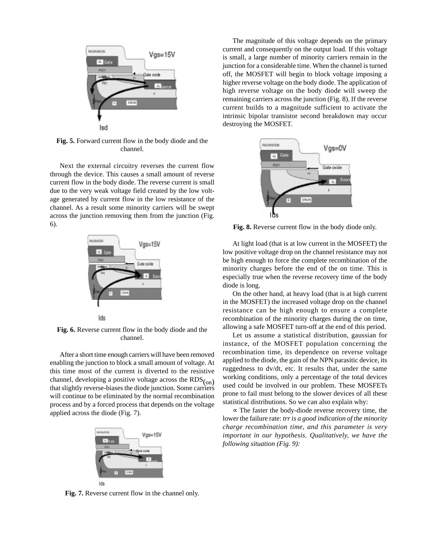

**Fig. 5.** Forward current flow in the body diode and the channel.

Next the external circuitry reverses the current flow through the device. This causes a small amount of reverse current flow in the body diode. The reverse current is small due to the very weak voltage field created by the low voltage generated by current flow in the low resistance of the channel. As a result some minority carriers will be swept across the junction removing them from the junction (Fig. 6).



**Fig. 6.** Reverse current flow in the body diode and the channel.

After a short time enough carriers will have been removed enabling the junction to block a small amount of voltage. At this time most of the current is diverted to the resistive channel, developing a positive voltage across the  $RDS_{(on)}$  that slightly reverse-biases the diode junction. Some carriers will continue to be eliminated by the normal recombination process and by a forced process that depends on the voltage applied across the diode (Fig. 7).



**Fig. 7.** Reverse current flow in the channel only.

The magnitude of this voltage depends on the primary current and consequently on the output load. If this voltage is small, a large number of minority carriers remain in the junction for a considerable time. When the channel is turned off, the MOSFET will begin to block voltage imposing a higher reverse voltage on the body diode. The application of high reverse voltage on the body diode will sweep the remaining carriers across the junction (Fig. 8). If the reverse current builds to a magnitude sufficient to activate the intrinsic bipolar transistor second breakdown may occur destroying the MOSFET.



**Fig. 8.** Reverse current flow in the body diode only.

At light load (that is at low current in the MOSFET) the low positive voltage drop on the channel resistance may not be high enough to force the complete recombination of the minority charges before the end of the on time. This is especially true when the reverse recovery time of the body diode is long.

On the other hand, at heavy load (that is at high current in the MOSFET) the increased voltage drop on the channel resistance can be high enough to ensure a complete recombination of the minority charges during the on time, allowing a safe MOSFET turn-off at the end of this period.

Let us assume a statistical distribution, gaussian for instance, of the MOSFET population concerning the recombination time, its dependence on reverse voltage applied to the diode, the gain of the NPN parasitic device, its ruggedness to dv/dt, etc. It results that, under the same working conditions, only a percentage of the total devices used could be involved in our problem. These MOSFETs prone to fail must belong to the slower devices of all these statistical distributions. So we can also explain why:

∝ The faster the body-diode reverse recovery time, the lower the failure rate: *trr is a good indication of the minority charge recombination time, and this parameter is very important in our hypothesis. Qualitatively, we have the following situation (Fig. 9):*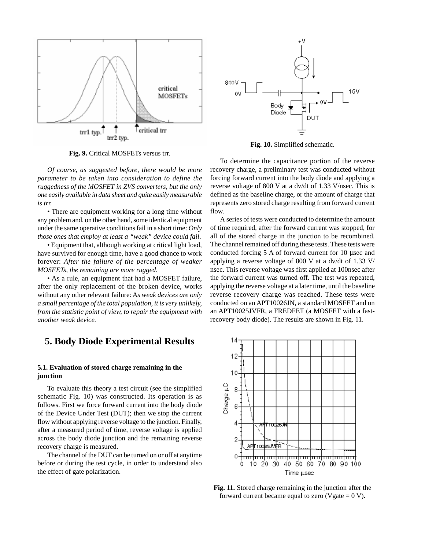

**Fig. 9.** Critical MOSFETs versus trr.

*Of course, as suggested before, there would be more parameter to be taken into consideration to define the ruggedness of the MOSFET in ZVS converters, but the only one easily available in data sheet and quite easily measurable is trr.*

• There are equipment working for a long time without any problem and, on the other hand, some identical equipment under the same operative conditions fail in a short time: *Only those ones that employ at least a "weak" device could fail*.

• Equipment that, although working at critical light load, have survived for enough time, have a good chance to work forever: *After the failure of the percentage of weaker MOSFETs, the remaining are more rugged*.

• As a rule, an equipment that had a MOSFET failure, after the only replacement of the broken device, works without any other relevant failure: A*s weak devices are only a small percentage of the total population, it is very unlikely, from the statistic point of view, to repair the equipment with another weak device.*

## **5. Body Diode Experimental Results**

#### **5.1. Evaluation of stored charge remaining in the junction**

To evaluate this theory a test circuit (see the simplified schematic Fig. 10) was constructed. Its operation is as follows. First we force forward current into the body diode of the Device Under Test (DUT); then we stop the current flow without applying reverse voltage to the junction. Finally, after a measured period of time, reverse voltage is applied across the body diode junction and the remaining reverse recovery charge is measured.

The channel of the DUT can be turned on or off at anytime before or during the test cycle, in order to understand also the effect of gate polarization.



**Fig. 10.** Simplified schematic.

To determine the capacitance portion of the reverse recovery charge, a preliminary test was conducted without forcing forward current into the body diode and applying a reverse voltage of 800 V at a dv/dt of 1.33 V/nsec. This is defined as the baseline charge, or the amount of charge that represents zero stored charge resulting from forward current flow.

A series of tests were conducted to determine the amount of time required, after the forward current was stopped, for all of the stored charge in the junction to be recombined. The channel remained off during these tests. These tests were conducted forcing 5 A of forward current for 10 µsec and applying a reverse voltage of 800 V at a dv/dt of 1.33 V/ nsec. This reverse voltage was first applied at 100nsec after the forward current was turned off. The test was repeated, applying the reverse voltage at a later time, until the baseline reverse recovery charge was reached. These tests were conducted on an APT10026JN, a standard MOSFET and on an APT10025JVFR, a FREDFET (a MOSFET with a fastrecovery body diode). The results are shown in Fig. 11.



**Fig. 11.** Stored charge remaining in the junction after the forward current became equal to zero (Vgate  $= 0$  V).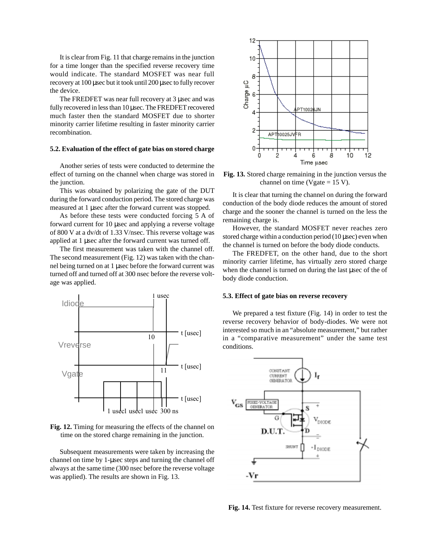It is clear from Fig. 11 that charge remains in the junction for a time longer than the specified reverse recovery time would indicate. The standard MOSFET was near full recovery at 100 µsec but it took until 200 µsec to fully recover the device.

The FREDFET was near full recovery at 3 usec and was fully recovered in less than 10 µsec. The FREDFET recovered much faster then the standard MOSFET due to shorter minority carrier lifetime resulting in faster minority carrier recombination.

#### **5.2. Evaluation of the effect of gate bias on stored charge**

Another series of tests were conducted to determine the effect of turning on the channel when charge was stored in the junction.

This was obtained by polarizing the gate of the DUT during the forward conduction period. The stored charge was measured at 1 µsec after the forward current was stopped.

As before these tests were conducted forcing 5 A of forward current for 10 µsec and applying a reverse voltage of 800 V at a dv/dt of 1.33 V/nsec. This reverse voltage was applied at 1 µsec after the forward current was turned off.

The first measurement was taken with the channel off. The second measurement (Fig. 12) was taken with the channel being turned on at 1 µsec before the forward current was turned off and turned off at 300 nsec before the reverse voltage was applied.





Subsequent measurements were taken by increasing the channel on time by 1-µsec steps and turning the channel off always at the same time (300 nsec before the reverse voltage was applied). The results are shown in Fig. 13.



**Fig. 13.** Stored charge remaining in the junction versus the channel on time (Vgate  $= 15$  V).

It is clear that turning the channel on during the forward conduction of the body diode reduces the amount of stored charge and the sooner the channel is turned on the less the remaining charge is.

However, the standard MOSFET never reaches zero stored charge within a conduction period  $(10 \,\mu \text{sec})$  even when the channel is turned on before the body diode conducts.

The FREDFET, on the other hand, due to the short minority carrier lifetime, has virtually zero stored charge when the channel is turned on during the last usec of the of body diode conduction.

#### **5.3. Effect of gate bias on reverse recovery**

We prepared a test fixture (Fig. 14) in order to test the reverse recovery behavior of body-diodes. We were not interested so much in an "absolute measurement," but rather in a "comparative measurement" under the same test conditions.



**Fig. 14.** Test fixture for reverse recovery measurement.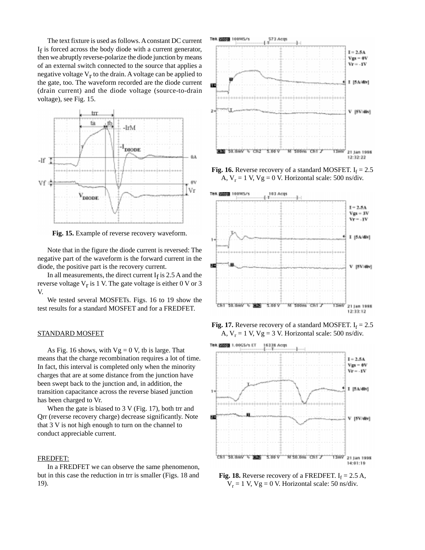The text fixture is used as follows. A constant DC current If is forced across the body diode with a current generator, then we abruptly reverse-polarize the diode junction by means of an external switch connected to the source that applies a negative voltage  $V_r$  to the drain. A voltage can be applied to the gate, too. The waveform recorded are the diode current (drain current) and the diode voltage (source-to-drain voltage), see Fig. 15.



**Fig. 15.** Example of reverse recovery waveform.

Note that in the figure the diode current is reversed: The negative part of the waveform is the forward current in the diode, the positive part is the recovery current.

In all measurements, the direct current  $I_f$  is 2.5 A and the reverse voltage  $V_r$  is 1 V. The gate voltage is either 0 V or 3 V.

We tested several MOSFETs. Figs. 16 to 19 show the test results for a standard MOSFET and for a FREDFET.

#### STANDARD MOSFET

As Fig. 16 shows, with  $Vg = 0 V$ , the is large. That means that the charge recombination requires a lot of time. In fact, this interval is completed only when the minority charges that are at some distance from the junction have been swept back to the junction and, in addition, the transition capacitance across the reverse biased junction has been charged to Vr.

When the gate is biased to  $3 \text{ V}$  (Fig. 17), both trr and Qrr (reverse recovery charge) decrease significantly. Note that 3 V is not high enough to turn on the channel to conduct appreciable current.

#### FREDFET:

In a FREDFET we can observe the same phenomenon, but in this case the reduction in trr is smaller (Figs. 18 and 19).



**Fig. 16.** Reverse recovery of a standard MOSFET.  $I_f = 2.5$ A,  $V_r = 1$  V,  $Vg = 0$  V. Horizontal scale: 500 ns/div.



**Fig. 17.** Reverse recovery of a standard MOSFET.  $I_f = 2.5$ A,  $V_r = 1$  V,  $Vg = 3$  V. Horizontal scale: 500 ns/div.



**Fig. 18.** Reverse recovery of a FREDFET.  $I_f = 2.5 A$ ,  $V_r = 1$  V,  $Vg = 0$  V. Horizontal scale: 50 ns/div.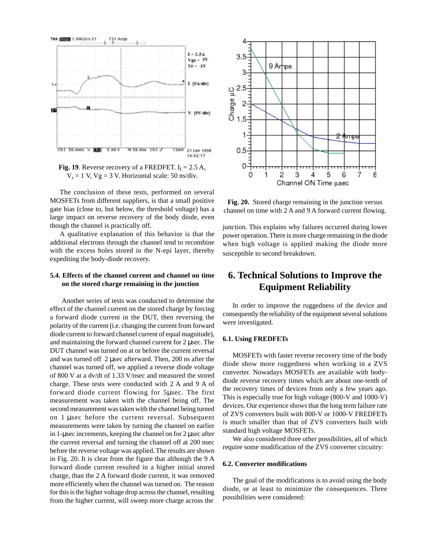

**Fig. 19**. Reverse recovery of a FREDFET.  $I_f = 2.5 A$ ,  $V_r = 1$  V,  $Vg = 3$  V. Horizontal scale: 50 ns/div.

The conclusion of these tests, performed on several MOSFETs from different suppliers, is that a small positive gate bias (close to, but below, the threshold voltage) has a large impact on reverse recovery of the body diode, even though the channel is practically off.

A qualitative explanation of this behavior is that the additional electrons through the channel tend to recombine with the excess holes stored in the N-epi layer, thereby expediting the body-diode recovery.

#### **5.4. Effects of the channel current and channel on time on the stored charge remaining in the junction**

Another series of tests was conducted to determine the effect of the channel current on the stored charge by forcing a forward diode current in the DUT, then reversing the polarity of the current (i.e. changing the current from forward diode current to forward channel current of equal magnitude), and maintaining the forward channel current for 2 µsec. The DUT channel was turned on at or before the current reversal and was turned off 2 µsec afterward. Then, 200 ns after the channel was turned off, we applied a reverse diode voltage of 800 V at a dv/dt of 1.33 V/nsec and measured the stored charge. These tests were conducted with 2 A and 9 A of forward diode current flowing for 5µsec. The first measurement was taken with the channel being off. The second measurement was taken with the channel being turned on 1 µsec before the current reversal. Subsequent measurements were taken by turning the channel on earlier in 1-µsec increments, keeping the channel on for  $2 \mu$ sec after the current reversal and turning the channel off at 200 nsec before the reverse voltage was applied. The results are shown in Fig. 20. It is clear from the figure that although the 9 A forward diode current resulted in a higher initial stored charge, than the 2 A forward diode current, it was removed more efficiently when the channel was turned on. The reason for this is the higher voltage drop across the channel, resulting from the higher current, will sweep more charge across the



**Fig. 20.** Stored charge remaining in the junction versus channel on time with 2 A and 9 A forward current flowing.

junction. This explains why failures occurred during lower power operation. There is more charge remaining in the diode when high voltage is applied making the diode more susceptible to second breakdown.

## **6. Technical Solutions to Improve the Equipment Reliability**

In order to improve the ruggedness of the device and consequently the reliability of the equipment several solutions were investigated.

#### **6.1. Using FREDFETs**

MOSFETs with faster reverse recovery time of the body diode show more ruggedness when working in a ZVS converter. Nowadays MOSFETs are available with bodydiode reverse recovery times which are about one-tenth of the recovery times of devices from only a few years ago. This is especially true for high voltage (800-V and 1000-V) devices. Our experience shows that the long term failure rate of ZVS converters built with 800-V or 1000-V FREDFETs is much smaller than that of ZVS converters built with standard high voltage MOSFETs.

We also considered three other possibilities, all of which require some modification of the ZVS converter circuitry:

#### **6.2. Converter modifications**

The goal of the modifications is to avoid using the body diode, or at least to minimize the consequences. Three possibilities were considered: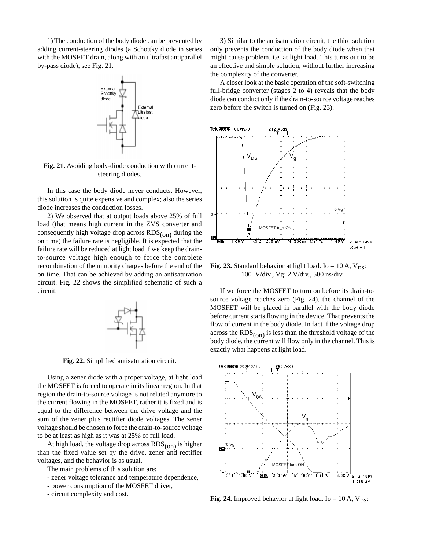1) The conduction of the body diode can be prevented by adding current-steering diodes (a Schottky diode in series with the MOSFET drain, along with an ultrafast antiparallel by-pass diode), see Fig. 21.



**Fig. 21.** Avoiding body-diode conduction with currentsteering diodes.

In this case the body diode never conducts. However, this solution is quite expensive and complex; also the series diode increases the conduction losses.

2) We observed that at output loads above 25% of full load (that means high current in the ZVS converter and consequently high voltage drop across  $RDS_{(on)}$  during the on time) the failure rate is negligible. It is expected that the failure rate will be reduced at light load if we keep the drainto-source voltage high enough to force the complete recombination of the minority charges before the end of the on time. That can be achieved by adding an antisaturation circuit. Fig. 22 shows the simplified schematic of such a circuit.



**Fig. 22.** Simplified antisaturation circuit.

Using a zener diode with a proper voltage, at light load the MOSFET is forced to operate in its linear region. In that region the drain-to-source voltage is not related anymore to the current flowing in the MOSFET, rather it is fixed and is equal to the difference between the drive voltage and the sum of the zener plus rectifier diode voltages. The zener voltage should be chosen to force the drain-to-source voltage to be at least as high as it was at 25% of full load.

At high load, the voltage drop across  $RDS_{(0n)}$  is higher than the fixed value set by the drive, zener and rectifier voltages, and the behavior is as usual.

- The main problems of this solution are:
- zener voltage tolerance and temperature dependence,
- power consumption of the MOSFET driver,
- circuit complexity and cost.

3) Similar to the antisaturation circuit, the third solution only prevents the conduction of the body diode when that might cause problem, i.e. at light load. This turns out to be an effective and simple solution, without further increasing the complexity of the converter.

A closer look at the basic operation of the soft-switching full-bridge converter (stages 2 to 4) reveals that the body diode can conduct only if the drain-to-source voltage reaches zero before the switch is turned on (Fig. 23).



**Fig. 23.** Standard behavior at light load. Io = 10 A,  $V_{DS}$ : 100 V/div., Vg: 2 V/div., 500 ns/div.

If we force the MOSFET to turn on before its drain-tosource voltage reaches zero (Fig. 24), the channel of the MOSFET will be placed in parallel with the body diode before current starts flowing in the device. That prevents the flow of current in the body diode. In fact if the voltage drop across the  $RDS_{(on)}$  is less than the threshold voltage of the body diode, the current will flow only in the channel. This is exactly what happens at light load.



**Fig. 24.** Improved behavior at light load. Io = 10 A,  $V_{DS}$ :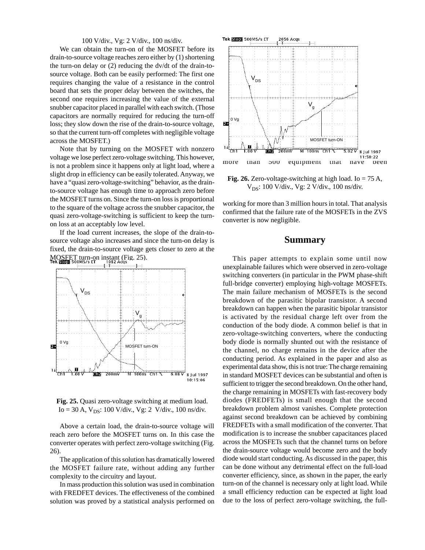100 V/div., Vg: 2 V/div., 100 ns/div.

We can obtain the turn-on of the MOSFET before its drain-to-source voltage reaches zero either by (1) shortening the turn-on delay or (2) reducing the dv/dt of the drain-tosource voltage. Both can be easily performed: The first one requires changing the value of a resistance in the control board that sets the proper delay between the switches, the second one requires increasing the value of the external snubber capacitor placed in parallel with each switch. (Those capacitors are normally required for reducing the turn-off loss; they slow down the rise of the drain-to-source voltage, so that the current turn-off completes with negligible voltage across the MOSFET.)

Note that by turning on the MOSFET with nonzero voltage we lose perfect zero-voltage switching. This however, is not a problem since it happens only at light load, where a slight drop in efficiency can be easily tolerated. Anyway, we have a "quasi zero-voltage-switching" behavior, as the drainto-source voltage has enough time to approach zero before the MOSFET turns on. Since the turn-on loss is proportional to the square of the voltage across the snubber capacitor, the quasi zero-voltage-switching is sufficient to keep the turnon loss at an acceptably low level.

If the load current increases, the slope of the drain-tosource voltage also increases and since the turn-on delay is fixed, the drain-to-source voltage gets closer to zero at the MOSFET turn-on instant (Fig. 25).



**Fig. 25.** Quasi zero-voltage switching at medium load.  $Io = 30 A, V_{DS}$ : 100 V/div., Vg: 2 V/div., 100 ns/div.

Above a certain load, the drain-to-source voltage will reach zero before the MOSFET turns on. In this case the converter operates with perfect zero-voltage switching (Fig. 26).

The application of this solution has dramatically lowered the MOSFET failure rate, without adding any further complexity to the circuitry and layout.

In mass production this solution was used in combination with FREDFET devices. The effectiveness of the combined solution was proved by a statistical analysis performed on



**Fig. 26.** Zero-voltage-switching at high load. Io = 75 A, V<sub>DS</sub>: 100 V/div., Vg: 2 V/div., 100 ns/div.

working for more than 3 million hours in total. That analysis confirmed that the failure rate of the MOSFETs in the ZVS converter is now negligible.

### **Summary**

This paper attempts to explain some until now unexplainable failures which were observed in zero-voltage switching converters (in particular in the PWM phase-shift full-bridge converter) employing high-voltage MOSFETs. The main failure mechanism of MOSFETs is the second breakdown of the parasitic bipolar transistor. A second breakdown can happen when the parasitic bipolar transistor is activated by the residual charge left over from the conduction of the body diode. A common belief is that in zero-voltage-switching converters, where the conducting body diode is normally shunted out with the resistance of the channel, no charge remains in the device after the conducting period. As explained in the paper and also as experimental data show, this is not true: The charge remaining in standard MOSFET devices can be substantial and often is sufficient to trigger the second breakdown. On the other hand, the charge remaining in MOSFETs with fast-recovery body diodes (FREDFETs) is small enough that the second breakdown problem almost vanishes. Complete protection against second breakdown can be achieved by combining FREDFETs with a small modification of the converter. That modification is to increase the snubber capacitances placed across the MOSFETs such that the channel turns on before the drain-source voltage would become zero and the body diode would start conducting. As discussed in the paper, this can be done without any detrimental effect on the full-load converter efficiency, since, as shown in the paper, the early turn-on of the channel is necessary only at light load. While a small efficiency reduction can be expected at light load due to the loss of perfect zero-voltage switching, the full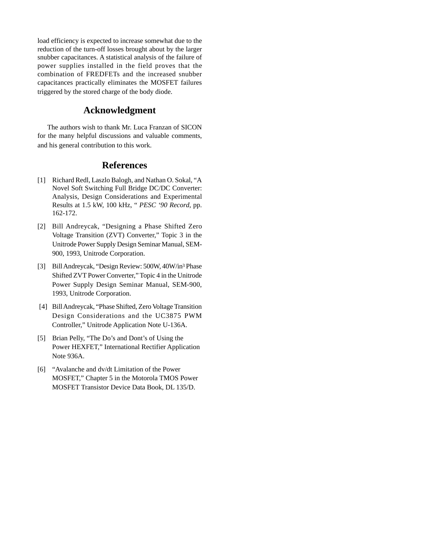load efficiency is expected to increase somewhat due to the reduction of the turn-off losses brought about by the larger snubber capacitances. A statistical analysis of the failure of power supplies installed in the field proves that the combination of FREDFETs and the increased snubber capacitances practically eliminates the MOSFET failures triggered by the stored charge of the body diode.

## **Acknowledgment**

The authors wish to thank Mr. Luca Franzan of SICON for the many helpful discussions and valuable comments, and his general contribution to this work.

## **References**

- [1] Richard Redl, Laszlo Balogh, and Nathan O. Sokal, "A Novel Soft Switching Full Bridge DC/DC Converter: Analysis, Design Considerations and Experimental Results at 1.5 kW, 100 kHz, " *PESC '90 Record*, pp. 162-172.
- [2] Bill Andreycak, "Designing a Phase Shifted Zero Voltage Transition (ZVT) Converter," Topic 3 in the Unitrode Power Supply Design Seminar Manual, SEM-900, 1993, Unitrode Corporation.
- [3] Bill Andreycak, "Design Review: 500W, 40W/in3 Phase Shifted ZVT Power Converter," Topic 4 in the Unitrode Power Supply Design Seminar Manual, SEM-900, 1993, Unitrode Corporation.
- [4] Bill Andreycak, "Phase Shifted, Zero Voltage Transition Design Considerations and the UC3875 PWM Controller," Unitrode Application Note U-136A.
- [5] Brian Pelly, "The Do's and Dont's of Using the Power HEXFET," International Rectifier Application Note 936A.
- [6] "Avalanche and dv/dt Limitation of the Power MOSFET," Chapter 5 in the Motorola TMOS Power MOSFET Transistor Device Data Book, DL 135/D.